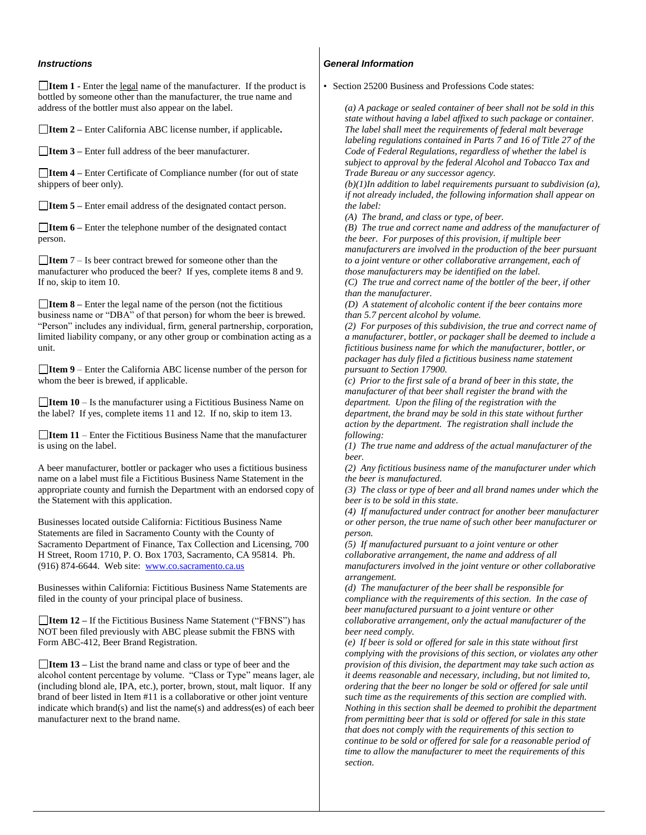## *Instructions*

**Item 1 -** Enter the legal name of the manufacturer. If the product is bottled by someone other than the manufacturer, the true name and address of the bottler must also appear on the label.

**Item 2 –** Enter California ABC license number, if applicable**.** 

**Item 3 –** Enter full address of the beer manufacturer.

**Item 4 –** Enter Certificate of Compliance number (for out of state shippers of beer only).

**Item 5 –** Enter email address of the designated contact person.

**Item 6 –** Enter the telephone number of the designated contact person.

**Item** 7 – Is beer contract brewed for someone other than the manufacturer who produced the beer? If yes, complete items 8 and 9. If no, skip to item 10.

**Item 8 –** Enter the legal name of the person (not the fictitious business name or "DBA" of that person) for whom the beer is brewed. "Person" includes any individual, firm, general partnership, corporation, limited liability company, or any other group or combination acting as a unit.

**Item 9** – Enter the California ABC license number of the person for whom the beer is brewed, if applicable.

**□Item 10** – Is the manufacturer using a Fictitious Business Name on the label? If yes, complete items 11 and 12. If no, skip to item 13.

**Item 11** – Enter the Fictitious Business Name that the manufacturer is using on the label.

A beer manufacturer, bottler or packager who uses a fictitious business name on a label must file a Fictitious Business Name Statement in the appropriate county and furnish the Department with an endorsed copy of the Statement with this application.

Businesses located outside California: Fictitious Business Name Statements are filed in Sacramento County with the County of Sacramento Department of Finance, Tax Collection and Licensing, 700 H Street, Room 1710, P. O. Box 1703, Sacramento, CA 95814. Ph. (916) 874-6644. Web site: [www.co.sacramento.ca.us](http://www.co.sacramento.ca.us/)

Businesses within California: Fictitious Business Name Statements are filed in the county of your principal place of business.

**Item 12 –** If the Fictitious Business Name Statement ("FBNS") has NOT been filed previously with ABC please submit the FBNS with Form ABC-412, Beer Brand Registration.

**Item 13 –** List the brand name and class or type of beer and the alcohol content percentage by volume. "Class or Type" means lager, ale (including blond ale, IPA, etc.), porter, brown, stout, malt liquor. If any brand of beer listed in Item #11 is a collaborative or other joint venture indicate which brand(s) and list the name(s) and address(es) of each beer manufacturer next to the brand name.

## *General Information*

• Section 25200 Business and Professions Code states:

*(a) A package or sealed container of beer shall not be sold in this state without having a label affixed to such package or container. The label shall meet the requirements of federal malt beverage labeling regulations contained in Parts 7 and 16 of Title 27 of the Code of Federal Regulations, regardless of whether the label is subject to approval by the federal Alcohol and Tobacco Tax and Trade Bureau or any successor agency.* 

*(b)(1)In addition to label requirements pursuant to subdivision (a), if not already included, the following information shall appear on the label:*

*(A) The brand, and class or type, of beer.*

*(B) The true and correct name and address of the manufacturer of the beer. For purposes of this provision, if multiple beer manufacturers are involved in the production of the beer pursuant to a joint venture or other collaborative arrangement, each of those manufacturers may be identified on the label.*

*(C) The true and correct name of the bottler of the beer, if other than the manufacturer.*

*(D) A statement of alcoholic content if the beer contains more than 5.7 percent alcohol by volume.*

*(2) For purposes of this subdivision, the true and correct name of a manufacturer, bottler, or packager shall be deemed to include a fictitious business name for which the manufacturer, bottler, or packager has duly filed a fictitious business name statement pursuant to Section 17900.*

*(c) Prior to the first sale of a brand of beer in this state, the manufacturer of that beer shall register the brand with the department. Upon the filing of the registration with the department, the brand may be sold in this state without further action by the department. The registration shall include the following:*

*(1) The true name and address of the actual manufacturer of the beer.*

*(2) Any fictitious business name of the manufacturer under which the beer is manufactured.*

*(3) The class or type of beer and all brand names under which the beer is to be sold in this state.*

*(4) If manufactured under contract for another beer manufacturer or other person, the true name of such other beer manufacturer or person.*

*(5) If manufactured pursuant to a joint venture or other collaborative arrangement, the name and address of all manufacturers involved in the joint venture or other collaborative arrangement.* 

*(d) The manufacturer of the beer shall be responsible for compliance with the requirements of this section. In the case of beer manufactured pursuant to a joint venture or other collaborative arrangement, only the actual manufacturer of the beer need comply.*

*(e) If beer is sold or offered for sale in this state without first complying with the provisions of this section, or violates any other provision of this division, the department may take such action as it deems reasonable and necessary, including, but not limited to, ordering that the beer no longer be sold or offered for sale until such time as the requirements of this section are complied with. Nothing in this section shall be deemed to prohibit the department from permitting beer that is sold or offered for sale in this state that does not comply with the requirements of this section to continue to be sold or offered for sale for a reasonable period of time to allow the manufacturer to meet the requirements of this section.*